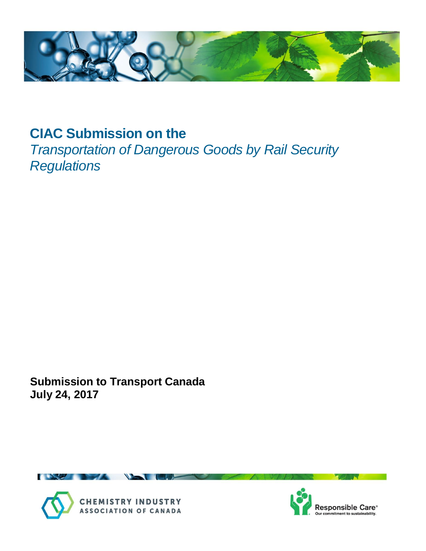

# **CIAC Submission on the**

*Transportation of Dangerous Goods by Rail Security Regulations*

**Submission to Transport Canada July 24, 2017**





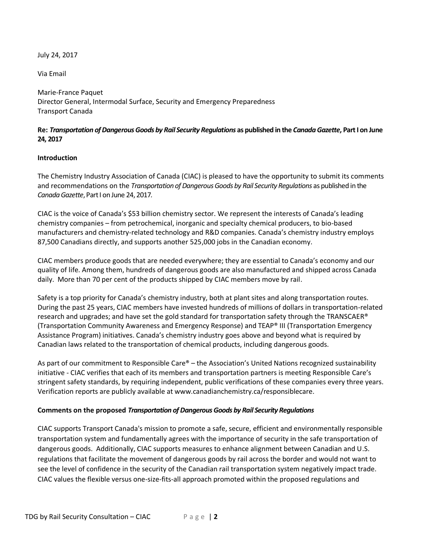July 24, 2017

Via Email

Marie-France Paquet Director General, Intermodal Surface, Security and Emergency Preparedness Transport Canada

## **Re:** *Transportation of Dangerous Goods by Rail Security Regulations* **as published in the** *Canada Gazette***, Part I on June 24, 2017**

#### **Introduction**

The Chemistry Industry Association of Canada (CIAC) is pleased to have the opportunity to submit its comments and recommendations on the *Transportation of Dangerous Goods by Rail Security Regulations* as published in the *Canada Gazette*, Part I on June 24, 2017*.*

CIAC is the voice of Canada's \$53 billion chemistry sector. We represent the interests of Canada's leading chemistry companies – from petrochemical, inorganic and specialty chemical producers, to bio-based manufacturers and chemistry-related technology and R&D companies. Canada's chemistry industry employs 87,500 Canadians directly, and supports another 525,000 jobs in the Canadian economy.

CIAC members produce goods that are needed everywhere; they are essential to Canada's economy and our quality of life. Among them, hundreds of dangerous goods are also manufactured and shipped across Canada daily. More than 70 per cent of the products shipped by CIAC members move by rail.

Safety is a top priority for Canada's chemistry industry, both at plant sites and along transportation routes. During the past 25 years, CIAC members have invested hundreds of millions of dollars in transportation-related research and upgrades; and have set the gold standard for transportation safety through the TRANSCAER® (Transportation Community Awareness and Emergency Response) and TEAP® III (Transportation Emergency Assistance Program) initiatives. Canada's chemistry industry goes above and beyond what is required by Canadian laws related to the transportation of chemical products, including dangerous goods.

As part of our commitment to Responsible Care® – the Association's United Nations recognized sustainability initiative - CIAC verifies that each of its members and transportation partners is meeting Responsible Care's stringent safety standards, by requiring independent, public verifications of these companies every three years. Verification reports are publicly available at www.canadianchemistry.ca/responsiblecare.

## **Comments on the proposed** *Transportation of Dangerous Goods by Rail Security Regulations*

CIAC supports Transport Canada's mission to promote a safe, secure, efficient and environmentally responsible transportation system and fundamentally agrees with the importance of security in the safe transportation of dangerous goods. Additionally, CIAC supports measures to enhance alignment between Canadian and U.S. regulations that facilitate the movement of dangerous goods by rail across the border and would not want to see the level of confidence in the security of the Canadian rail transportation system negatively impact trade. CIAC values the flexible versus one-size-fits-all approach promoted within the proposed regulations and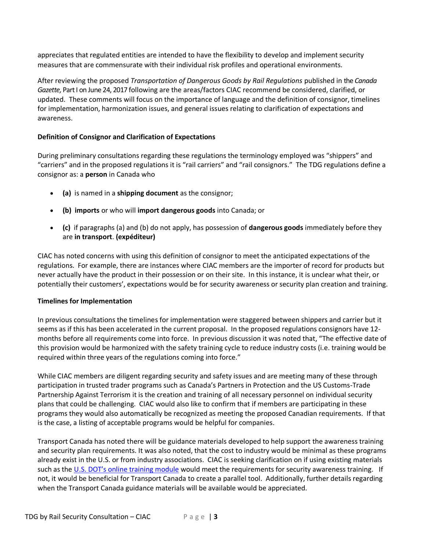appreciates that regulated entities are intended to have the flexibility to develop and implement security measures that are commensurate with their individual risk profiles and operational environments.

After reviewing the proposed *Transportation of Dangerous Goods by Rail Regulations* published in the *Canada Gazette,* Part I on June 24, 2017 following are the areas/factors CIAC recommend be considered, clarified, or updated. These comments will focus on the importance of language and the definition of consignor, timelines for implementation, harmonization issues, and general issues relating to clarification of expectations and awareness.

# **Definition of Consignor and Clarification of Expectations**

During preliminary consultations regarding these regulations the terminology employed was "shippers" and "carriers" and in the proposed regulations it is "rail carriers" and "rail consignors." The TDG regulations define a consignor as: a **person** in Canada who

- **(a)** is named in a **shipping document** as the consignor;
- **(b) imports** or who will **import dangerous goods** into Canada; or
- **(c)** if paragraphs (a) and (b) do not apply, has possession of **dangerous goods** immediately before they are **in transport**. **(expéditeur)**

CIAC has noted concerns with using this definition of consignor to meet the anticipated expectations of the regulations. For example, there are instances where CIAC members are the importer of record for products but never actually have the product in their possession or on their site. In this instance, it is unclear what their, or potentially their customers', expectations would be for security awareness or security plan creation and training.

## **Timelines for Implementation**

In previous consultations the timelines for implementation were staggered between shippers and carrier but it seems as if this has been accelerated in the current proposal. In the proposed regulations consignors have 12 months before all requirements come into force. In previous discussion it was noted that, "The effective date of this provision would be harmonized with the safety training cycle to reduce industry costs (i.e. training would be required within three years of the regulations coming into force."

While CIAC members are diligent regarding security and safety issues and are meeting many of these through participation in trusted trader programs such as Canada's Partners in Protection and the US Customs-Trade Partnership Against Terrorism it is the creation and training of all necessary personnel on individual security plans that could be challenging. CIAC would also like to confirm that if members are participating in these programs they would also automatically be recognized as meeting the proposed Canadian requirements. If that is the case, a listing of acceptable programs would be helpful for companies.

Transport Canada has noted there will be guidance materials developed to help support the awareness training and security plan requirements. It was also noted, that the cost to industry would be minimal as these programs already exist in the U.S. or from industry associations. CIAC is seeking clarification on if using existing materials such as the U.S[. DOT's online training module](https://www.phmsa.dot.gov/staticfiles/PHMSA/Hazmat/digipak/training_module.html) would meet the requirements for security awareness training. If not, it would be beneficial for Transport Canada to create a parallel tool. Additionally, further details regarding when the Transport Canada guidance materials will be available would be appreciated.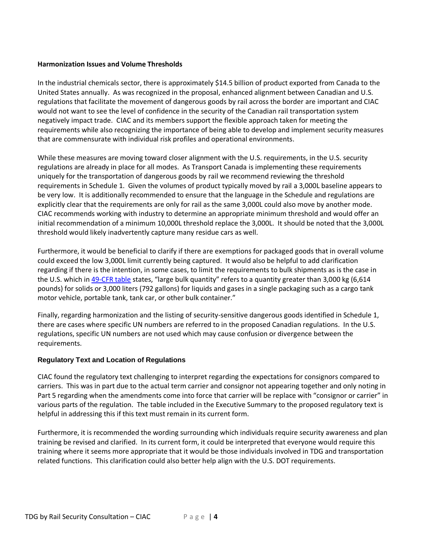#### **Harmonization Issues and Volume Thresholds**

In the industrial chemicals sector, there is approximately \$14.5 billion of product exported from Canada to the United States annually. As was recognized in the proposal, enhanced alignment between Canadian and U.S. regulations that facilitate the movement of dangerous goods by rail across the border are important and CIAC would not want to see the level of confidence in the security of the Canadian rail transportation system negatively impact trade. CIAC and its members support the flexible approach taken for meeting the requirements while also recognizing the importance of being able to develop and implement security measures that are commensurate with individual risk profiles and operational environments.

While these measures are moving toward closer alignment with the U.S. requirements, in the U.S. security regulations are already in place for all modes. As Transport Canada is implementing these requirements uniquely for the transportation of dangerous goods by rail we recommend reviewing the threshold requirements in Schedule 1. Given the volumes of product typically moved by rail a 3,000L baseline appears to be very low. It is additionally recommended to ensure that the language in the Schedule and regulations are explicitly clear that the requirements are only for rail as the same 3,000L could also move by another mode. CIAC recommends working with industry to determine an appropriate minimum threshold and would offer an initial recommendation of a minimum 10,000L threshold replace the 3,000L. It should be noted that the 3,000L threshold would likely inadvertently capture many residue cars as well.

Furthermore, it would be beneficial to clarify if there are exemptions for packaged goods that in overall volume could exceed the low 3,000L limit currently being captured. It would also be helpful to add clarification regarding if there is the intention, in some cases, to limit the requirements to bulk shipments as is the case in the U.S. which i[n 49-CFR table](https://www.ecfr.gov/cgi-bin/text-idx?SID=10f025c8b2288b89e4ced149acc4b81d&mc=true&node=se49.2.172_1800&rgn=div8) states, "large bulk quantity" refers to a quantity greater than 3,000 kg (6,614 pounds) for solids or 3,000 liters (792 gallons) for liquids and gases in a single packaging such as a cargo tank motor vehicle, portable tank, tank car, or other bulk container."

Finally, regarding harmonization and the listing of security-sensitive dangerous goods identified in Schedule 1, there are cases where specific UN numbers are referred to in the proposed Canadian regulations. In the U.S. regulations, specific UN numbers are not used which may cause confusion or divergence between the requirements.

## **Regulatory Text and Location of Regulations**

CIAC found the regulatory text challenging to interpret regarding the expectations for consignors compared to carriers. This was in part due to the actual term carrier and consignor not appearing together and only noting in Part 5 regarding when the amendments come into force that carrier will be replace with "consignor or carrier" in various parts of the regulation. The table included in the Executive Summary to the proposed regulatory text is helpful in addressing this if this text must remain in its current form.

Furthermore, it is recommended the wording surrounding which individuals require security awareness and plan training be revised and clarified. In its current form, it could be interpreted that everyone would require this training where it seems more appropriate that it would be those individuals involved in TDG and transportation related functions. This clarification could also better help align with the U.S. DOT requirements.